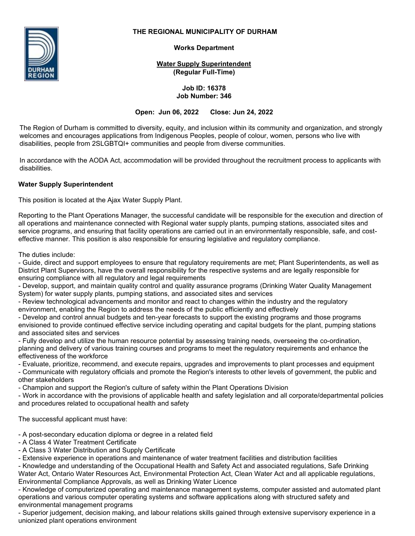

## **THE REGIONAL MUNICIPALITY OF DURHAM**

**Works Department**

**Water Supply Superintendent (Regular Full-Time)**

> **Job ID: 16378 Job Number: 346**

**Open: Jun 06, 2022 Close: Jun 24, 2022**

The Region of Durham is committed to diversity, equity, and inclusion within its community and organization, and strongly welcomes and encourages applications from Indigenous Peoples, people of colour, women, persons who live with disabilities, people from 2SLGBTQI+ communities and people from diverse communities.

In accordance with the AODA Act, accommodation will be provided throughout the recruitment process to applicants with disabilities.

# **Water Supply Superintendent**

This position is located at the Ajax Water Supply Plant.

Reporting to the Plant Operations Manager, the successful candidate will be responsible for the execution and direction of all operations and maintenance connected with Regional water supply plants, pumping stations, associated sites and service programs, and ensuring that facility operations are carried out in an environmentally responsible, safe, and costeffective manner. This position is also responsible for ensuring legislative and regulatory compliance.

The duties include:

- Guide, direct and support employees to ensure that regulatory requirements are met; Plant Superintendents, as well as District Plant Supervisors, have the overall responsibility for the respective systems and are legally responsible for ensuring compliance with all regulatory and legal requirements

- Develop, support, and maintain quality control and quality assurance programs (Drinking Water Quality Management System) for water supply plants, pumping stations, and associated sites and services

- Review technological advancements and monitor and react to changes within the industry and the regulatory environment, enabling the Region to address the needs of the public efficiently and effectively

- Develop and control annual budgets and ten-year forecasts to support the existing programs and those programs envisioned to provide continued effective service including operating and capital budgets for the plant, pumping stations and associated sites and services

- Fully develop and utilize the human resource potential by assessing training needs, overseeing the co-ordination, planning and delivery of various training courses and programs to meet the regulatory requirements and enhance the effectiveness of the workforce

- Evaluate, prioritize, recommend, and execute repairs, upgrades and improvements to plant processes and equipment

- Communicate with regulatory officials and promote the Region's interests to other levels of government, the public and other stakeholders

- Champion and support the Region's culture of safety within the Plant Operations Division

- Work in accordance with the provisions of applicable health and safety legislation and all corporate/departmental policies and procedures related to occupational health and safety

The successful applicant must have:

- A post-secondary education diploma or degree in a related field

- A Class 4 Water Treatment Certificate

- A Class 3 Water Distribution and Supply Certificate

- Extensive experience in operations and maintenance of water treatment facilities and distribution facilities

- Knowledge and understanding of the Occupational Health and Safety Act and associated regulations, Safe Drinking Water Act, Ontario Water Resources Act, Environmental Protection Act, Clean Water Act and all applicable regulations, Environmental Compliance Approvals, as well as Drinking Water Licence

- Knowledge of computerized operating and maintenance management systems, computer assisted and automated plant operations and various computer operating systems and software applications along with structured safety and environmental management programs

- Superior judgement, decision making, and labour relations skills gained through extensive supervisory experience in a unionized plant operations environment